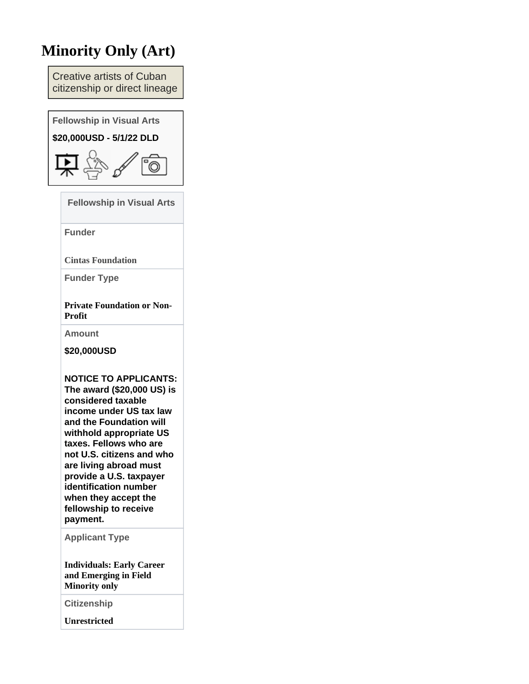# **Minority Only (Art)**

Creative artists of Cuban citizenship or direct lineage

**Fellowship in Visual Arts \$20,000USD - 5/1/22 DLD**



**Fellowship in Visual Arts**

**Funder**

**[Cintas Foundation](https://pivot.proquest.com/funding/results?quick_search=true&sponsorId=%22d4cc66bf-fa1d-48ed-9177-d1d75de8f0f3%22&sponsorParentId=%22d4cc66bf-fa1d-48ed-9177-d1d75de8f0f3%22)**

**Funder Type**

**Private Foundation or Non-Profit**

**Amount**

**\$20,000USD**

**NOTICE TO APPLICANTS: The award (\$20,000 US) is considered taxable income under US tax law and the Foundation will withhold appropriate US taxes. Fellows who are not U.S. citizens and who are living abroad must provide a U.S. taxpayer identification number when they accept the fellowship to receive payment.**

**Applicant Type**

**Individuals: Early Career and Emerging in Field Minority only**

**Citizenship**

**Unrestricted**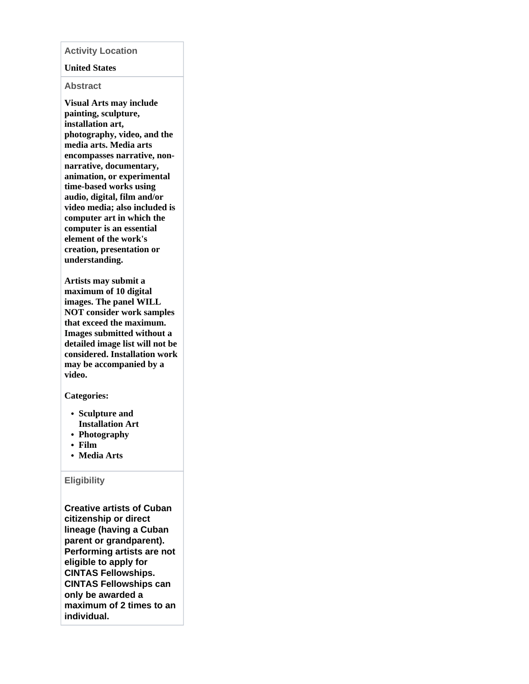## **Activity Location**

#### **United States**

# **Abstract**

**Visual Arts may include painting, sculpture, installation art, photography, video, and the media arts. Media arts encompasses narrative, nonnarrative, documentary, animation, or experimental time-based works using audio, digital, film and/or video media; also included is computer art in which the computer is an essential element of the work's creation, presentation or understanding.**

**Artists may submit a maximum of 10 digital images. The panel WILL NOT consider work samples that exceed the maximum. Images submitted without a detailed image list will not be considered. Installation work may be accompanied by a video.**

**Categories:**

- **Sculpture and Installation Art**
- **Photography**
- **Film**
- **Media Arts**

### **Eligibility**

**Creative artists of Cuban citizenship or direct lineage (having a Cuban parent or grandparent). Performing artists are not eligible to apply for CINTAS Fellowships. CINTAS Fellowships can only be awarded a maximum of 2 times to an individual.**